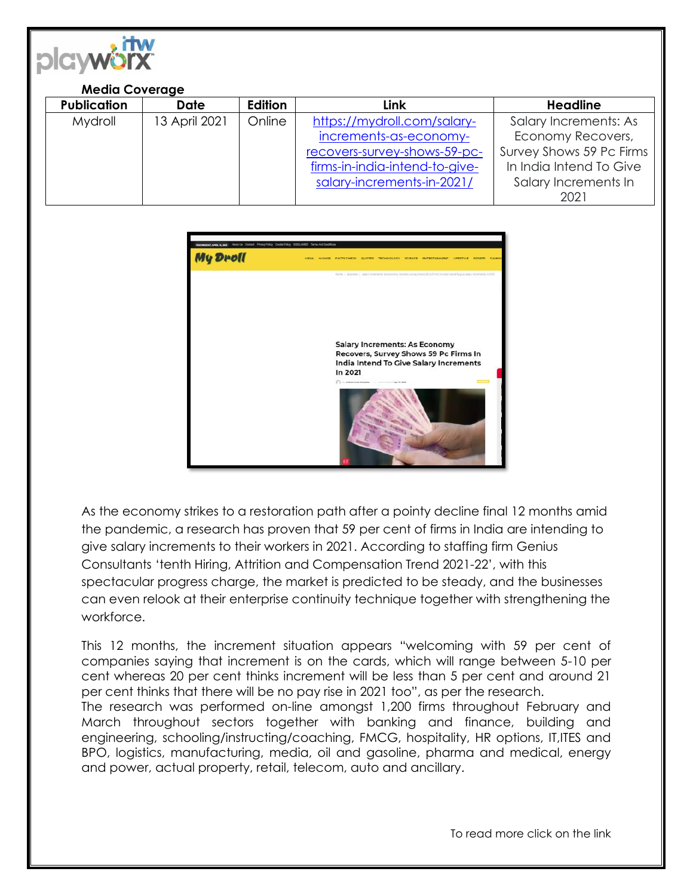

## **Media Coverage**

| <b>Publication</b> | Date          | Edition | Link                           | <b>Headline</b>          |
|--------------------|---------------|---------|--------------------------------|--------------------------|
| Mydroll            | 13 April 2021 | Online  | https://mydroll.com/salary-    | Salary Increments: As    |
|                    |               |         | increments-as-economy-         | Economy Recovers,        |
|                    |               |         | recovers-survey-shows-59-pc-   | Survey Shows 59 Pc Firms |
|                    |               |         | firms-in-india-intend-to-give- | In India Intend To Give  |
|                    |               |         | salary-increments-in-2021/     | Salary Increments In     |
|                    |               |         |                                | 2021                     |



As the economy strikes to a restoration path after a pointy decline final 12 months amid the pandemic, a research has proven that 59 per cent of firms in India are intending to give salary increments to their workers in 2021. According to staffing firm Genius Consultants 'tenth Hiring, Attrition and Compensation Trend 2021-22', with this spectacular progress charge, the market is predicted to be steady, and the businesses can even relook at their enterprise continuity technique together with strengthening the workforce.

This 12 months, the increment situation appears "welcoming with 59 per cent of companies saying that increment is on the cards, which will range between 5-10 per cent whereas 20 per cent thinks increment will be less than 5 per cent and around 21 per cent thinks that there will be no pay rise in 2021 too", as per the research.

The research was performed on-line amongst 1,200 firms throughout February and March throughout sectors together with banking and finance, building and engineering, schooling/instructing/coaching, FMCG, hospitality, HR options, IT,ITES and BPO, logistics, manufacturing, media, oil and gasoline, pharma and medical, energy and power, actual property, retail, telecom, auto and ancillary.

To read more click on the link